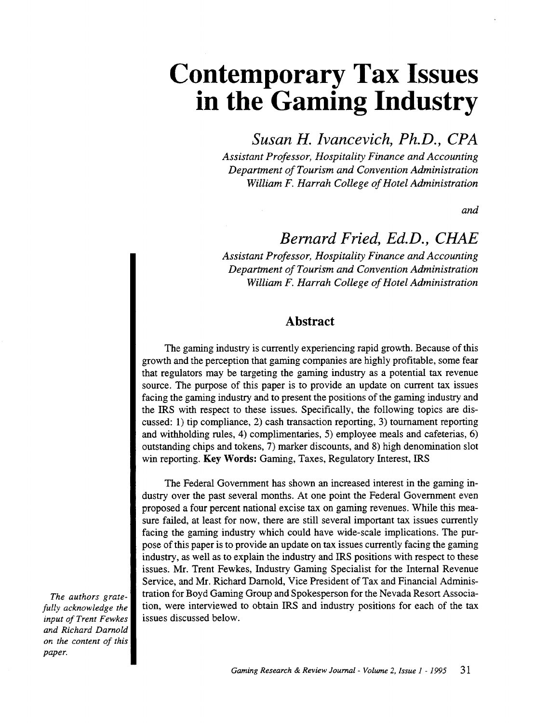# **Contemporary Tax Issues**  in the Gaming Industry

*Susan H. lvancevich, Ph.D., CPA* 

*Assistant Professor, Hospitality Finance and Accounting Department of Tourism and Convention Administration William F. Harrah College of Hotel Administration* 

*and* 

### *Bernard Fried, Ed.D., CHAE*

*Assistant Professor, Hospitality Finance and Accounting Department of Tourism and Convention Administration William F. Harrah College of Hotel Administration* 

### Abstract

The gaming industry is currently experiencing rapid growth. Because of this growth and the perception that gaming companies are highly profitable, some fear that regulators may be targeting the gaming industry as a potential tax revenue source. The purpose of this paper is to provide an update on current tax issues facing the gaming industry and to present the positions of the gaming industry and the IRS with respect to these issues. Specifically, the following topics are discussed: 1) tip compliance, 2) cash transaction reporting, 3) tournament reporting and withholding rules, 4) complimentaries, 5) employee meals and cafeterias, 6) outstanding chips and tokens, 7) marker discounts, and 8) high denomination slot win reporting. Key Words: Gaming, Taxes, Regulatory Interest, IRS

The Federal Government has shown an increased interest in the gaming industry over the past several months. At one point the Federal Government even proposed a four percent national excise tax on gaming revenues. While this measure failed, at least for now, there are still several important tax issues currently facing the gaming industry which could have wide-scale implications. The purpose of this paper is to provide an update on tax issues currently facing the gaming industry, as well as to explain the industry and IRS positions with respect to these issues. Mr. Trent Fewkes, Industry Gaming Specialist for the Internal Revenue Service, and Mr. Richard Darnold, Vice President of Tax and Financial Administration for Boyd Gaming Group and Spokesperson for the Nevada Resort Association, were interviewed to obtain IRS and industry positions for each of the tax issues discussed below.

*The authors gratefully acknowledge the input of Trent Fewkes and Richard Darnold on the content of this paper.*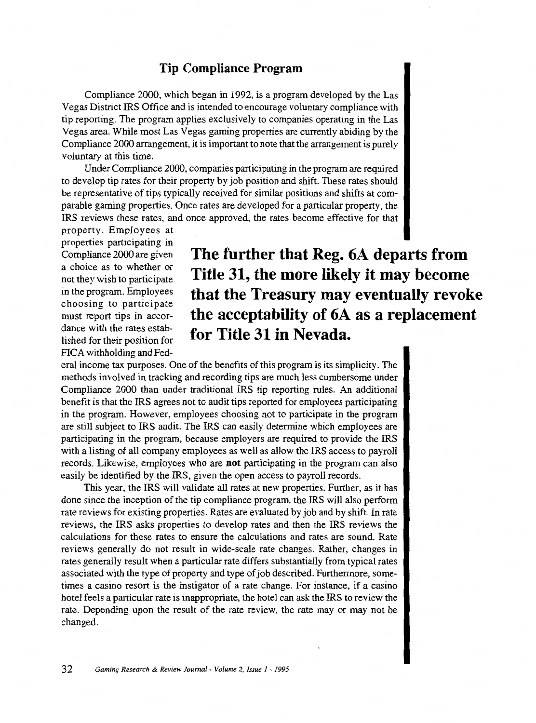### **Tip Compliance Program**

Compliance 2000, which began in 1992, is a program developed by the Las Vegas District IRS Office and is intended to encourage voluntary compliance with tip reporting. The program applies exclusively to companies operating in the Las Vegas area. While most Las Vegas gaming properties are currently abiding by the Compliance 2000 arrangement, it is important to note that the arrangement is purely voluntary at this time.

Under Compliance 2000, companies participating in the program are required to develop tip rates for their property by job position and shift. These rates should be representative of tips typically received for similar positions and shifts at comparable gaming properties. Once rates are developed for a particular property, the IRS reviews these rates, and once approved, the rates become effective for that

property. Employees at properties participating in Compliance 2000 are given a choice as to whether or not they wish to participate in the program. Employees choosing to participate must report tips in accordance with the rates established for their position for FICA withholding and Fed-

### **The further that Reg. 6A departs from Title 31, the more likely it may become that the Treasury may eventually revoke the acceptability of 6A as a replacement for Title 31 in Nevada.**

eral income tax purposes. One of the benefits ofthis program is its simplicity. The methods involved in tracking and recording tips are much less cumbersome under Compliance 2000 than under traditional IRS tip reporting rules. An additional benefit is that the IRS agrees not to audit tips reported for employees participating in the program. However, employees choosing not to participate in the program are still subject to IRS audit. The IRS can easily determine which employees are participating in the program, because employers are required to provide the IRS with a listing of all company employees as well as allow the IRS access to payroll records. Likewise, employees who are **not** participating in the program can also easily be identified by the IRS, given the open access to payroll records.

This year, the IRS will validate all rates at new properties. Further, as it has done since the inception of the tip compliance program, the IRS will also perform rate reviews for existing properties. Rates are evaluated by job and by shift. In rate reviews, the IRS asks properties to develop rates and then the IRS reviews the calculations for these rates to ensure the calculations and rates are sound. Rate reviews generally do not result in wide-scale rate changes. Rather, changes in rates generally result when a particular rate differs substantially from typical rates associated with the type of property and type of job described. Furthermore, sometimes a casino resort is the instigator of a rate change. For instance, if a casino hotel feels a particular rate is inappropriate, the hotel can ask the IRS to review the rate. Depending upon the result of the rate review, the rate may or may not be changed.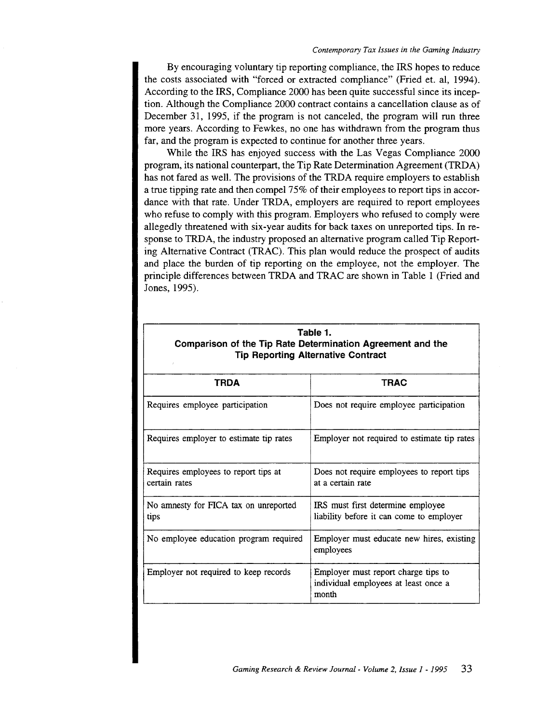By encouraging voluntary tip reporting compliance, the IRS hopes to reduce the costs associated with "forced or extracted compliance" (Fried et. al, 1994). According to the IRS, Compliance 2000 has been quite successful since its inception. Although the Compliance 2000 contract contains a cancellation clause as of December 31, 1995, if the program is not canceled, the program will run three more years. According to Fewkes, no one has withdrawn from the program thus far, and the program is expected to continue for another three years.

While the IRS has enjoyed success with the Las Vegas Compliance 2000 program, its national counterpart, the Tip Rate Determination Agreement (TRDA) has not fared as well. The provisions of the TRDA require employers to establish a true tipping rate and then compel 75% of their employees to report tips in accordance with that rate. Under TRDA, employers are required to report employees who refuse to comply with this program. Employers who refused to comply were allegedly threatened with six-year audits for back taxes on unreported tips. In response to TRDA, the industry proposed an alternative program called Tip Reporting Alternative Contract (TRAC). This plan would reduce the prospect of audits and place the burden of tip reporting on the employee, not the employer. The principle differences between TRDA and TRAC are shown in Table 1 (Fried and Jones, 1995).

| Table 1.<br>Comparison of the Tip Rate Determination Agreement and the<br><b>Tip Reporting Alternative Contract</b> |                                                                                      |
|---------------------------------------------------------------------------------------------------------------------|--------------------------------------------------------------------------------------|
| TRDA                                                                                                                | <b>TRAC</b>                                                                          |
| Requires employee participation                                                                                     | Does not require employee participation                                              |
| Requires employer to estimate tip rates                                                                             | Employer not required to estimate tip rates                                          |
| Requires employees to report tips at<br>certain rates                                                               | Does not require employees to report tips<br>at a certain rate                       |
| No amnesty for FICA tax on unreported<br>tips                                                                       | IRS must first determine employee<br>liability before it can come to employer        |
| No employee education program required                                                                              | Employer must educate new hires, existing<br>employees                               |
| Employer not required to keep records                                                                               | Employer must report charge tips to<br>individual employees at least once a<br>month |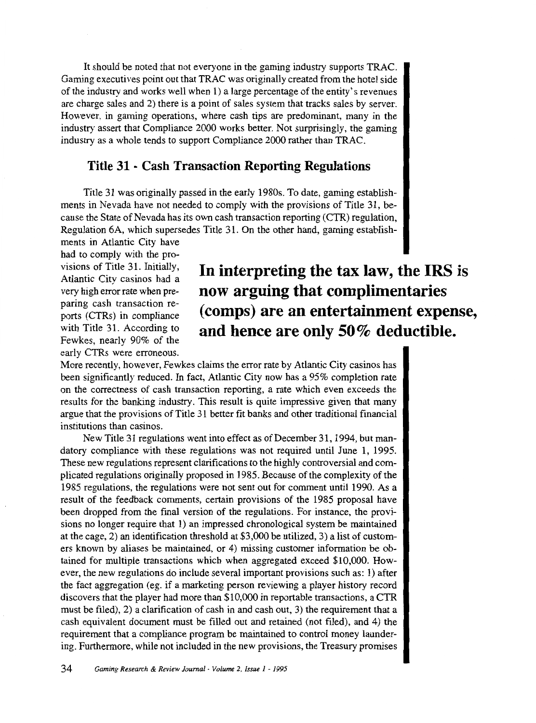It should be noted that not everyone in the gaming industry supports TRAC. Gaming executives point out that TRAC was originally created from the hotel side of the industry and works well when 1) a large percentage of the entity's revenues are charge sales and 2) there is a point of sales system that tracks sales by server. However, in gaming operations, where cash tips are predominant, many in the industry assert that Compliance 2000 works better. Not surprisingly, the gaming industry as a whole tends to support Compliance 2000 rather than TRAC.

#### **Title 31 - Cash Transaction Reporting Regulations**

Title 31 was originally passed in the early 1980s. To date, gaming establishments in Nevada have not needed to comply with the provisions of Title 31, because the State of Nevada has its own cash transaction reporting (CTR) regulation, Regulation 6A, which supersedes Title 31. On the other hand, gaming establish-

ments in Atlantic City have had to comply with the provisions of Title 31. Initially, Atlantic City casinos had a very high error rate when preparing cash transaction reports (CTRs) in compliance with Title 31. According to Fewkes, nearly 90% of the early CTRs were erroneous.

### **In interpreting the tax law, the IRS is now arguing that complimentaries (comps) are an entertainment expense, and hence are only 50% deductible.**

More recently, however, Fewkes claims the error rate by Atlantic City casinos has been significantly reduced. In fact, Atlantic City now has a 95% completion rate on the correctness of cash transaction reporting, a rate which even exceeds the results for the banking industry. This result is quite impressive given that many argue that the provisions of Title 31 better fit banks and other traditional financial institutions than casinos.

New Title 31 regulations went into effect as of December 31, 1994, but mandatory compliance with these regulations was not required until June 1, 1995. These new regulations represent clarifications to the highly controversial and complicated regulations originally proposed in 1985. Because of the complexity of the 1985 regulations, the regulations were not sent out for comment until 1990. As a result of the feedback comments, certain provisions of the 1985 proposal have been dropped from the final version of the regulations. For instance, the provisions no longer require that 1) an impressed chronological system be maintained at the cage, 2) an identification threshold at \$3,000 be utilized, 3) a list of customers known by aliases be maintained, or 4) missing customer information be obtained for multiple transactions which when aggregated exceed \$10,000. However, the new regulations do include several important provisions such as: 1) after the fact aggregation (eg. if a marketing person reviewing a player history record discovers that the player had more than \$10,000 in reportable transactions, a CTR must be filed), 2) a clarification of cash in and cash out, 3) the requirement that a cash equivalent document must be filled out and retained (not filed), and 4) the requirement that a compliance program be maintained to control money laundering. Furthermore, while not included in the new provisions, the Treasury promises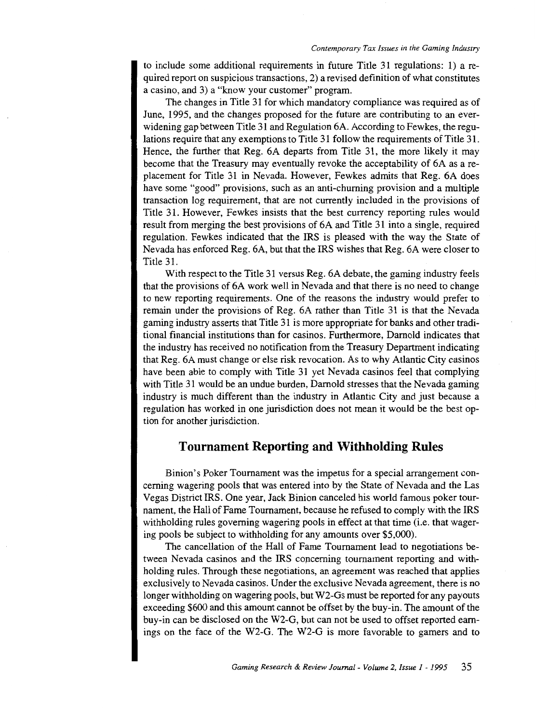to include some additional requirements in future Title 31 regulations: 1) a required report on suspicious transactions, 2) a revised definition of what constitutes a casino, and 3) a "know your customer" program.

The changes in Title 31 for which mandatory compliance was required as of June, 1995, and the changes proposed for the future are contributing to an everwidening gap between Title 31 and Regulation 6A. According to Fewkes, the regulations require that any exemptions to Title 31 follow the requirements of Title 31. Hence, the further that Reg. 6A departs from Title 31, the more likely it may become that the Treasury may eventually revoke the acceptability of 6A as a replacement for Title 31 in Nevada. However, Fewkes admits that Reg. 6A does have some "good" provisions, such as an anti-churning provision and a multiple transaction log requirement, that are not currently included in the provisions of Title 31. However, Fewkes insists that the best currency reporting rules would result from merging the best provisions of 6A and Title 31 into a single, required regulation. Fewkes indicated that the IRS is pleased with the way the State of Nevada has enforced Reg. 6A, but that the IRS wishes that Reg. 6A were closer to Title 31.

With respect to the Title 31 versus Reg. 6A debate, the gaming industry feels that the provisions of 6A work well in Nevada and that there is no need to change to new reporting requirements. One of the reasons the industry would prefer to remain under the provisions of Reg. 6A rather than Title 31 is that the Nevada gaming industry asserts that Title 31 is more appropriate for banks and other traditional financial institutions than for casinos. Furthermore, Darnold indicates that the industry has received no notification from the Treasury Department indicating that Reg. 6A must change or else risk revocation. As to why Atlantic City casinos have been able to comply with Title 31 yet Nevada casinos feel that complying with Title 31 would be an undue burden, Darnold stresses that the Nevada gaming industry is much different than the industry in Atlantic City and just because a regulation has worked in one jurisdiction does not mean it would be the best option for another jurisdiction.

#### **Tournament Reporting and Withholding Rules**

Binion's Poker Tournament was the impetus for a special arrangement concerning wagering pools that was entered into by the State of Nevada and the Las Vegas District IRS. One year, Jack Binion canceled his world famous poker tournament, the Hall of Fame Tournament, because he refused to comply with the IRS withholding rules governing wagering pools in effect at that time (i.e. that wagering pools be subject to withholding for any amounts over \$5,000).

The cancellation of the Hall of Fame Tournament lead to negotiations between Nevada casinos and the IRS copcerning tournament reporting and withholding rules. Through these negotiations, an agreement was reached that applies exclusively to Nevada casinos. Under the exclusive Nevada agreement, there is no longer withholding on wagering pools, but W2-Gs must be reported for any payouts exceeding \$600 and this amount cannot be offset by the buy-in. The amount of the buy-in can be disclosed on the W2-G, but can not be used to offset reported earnings on the face of the W2-G. The W2-G is more favorable to gamers and to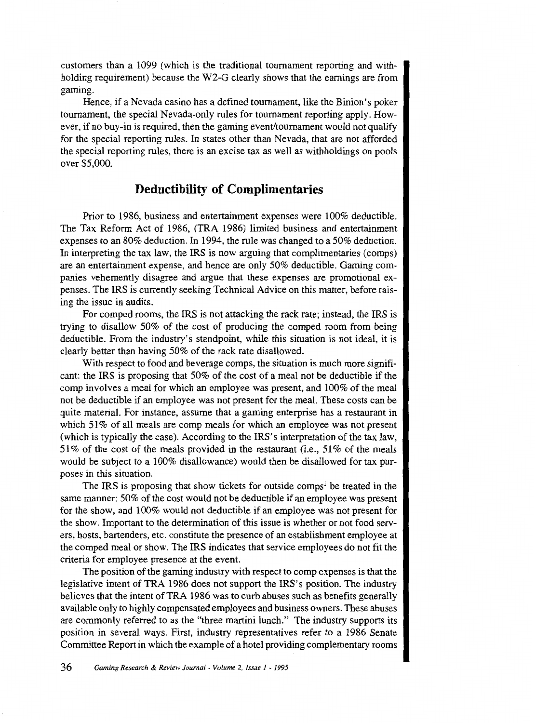customers than a 1099 (which is the traditional tournament reporting and withholding requirement) because the W2-G clearly shows that the earnings are from gaming.

Hence, if a Nevada casino has a defined tournament, like the Binion's poker tournament, the special Nevada-only rules for tournament reporting apply. However, if no buy-in is required, then the gaming event/tournament would not qualify for the special reporting rules. In states other than Nevada, that are not afforded the special reporting rules, there is an excise tax as well as withholdings on pools over \$5,000.

### **Deductibility of Complimentaries**

Prior to 1986, business and entertainment expenses were 100% deductible. The Tax Reform Act of 1986, (TRA 1986) limited business and entertainment expenses to an 80% deduction. In 1994, the rule was changed to a 50% deduction. In interpreting the tax law, the IRS is now arguing that complimentaries (comps) are an entertainment expense, and hence are only 50% deductible. Gaming companies vehemently disagree and argue that these expenses are promotional expenses. The IRS is currently seeking Technical Advice on this matter, before raising the issue in audits.

For comped rooms, the IRS is not attacking the rack rate; instead, the IRS is trying to disallow 50% of the cost of producing the comped room from being deductible. From the industry's standpoint, while this situation is not ideal, it is clearly better than having 50% of the rack rate disallowed.

With respect to food and beverage comps, the situation is much more significant: the IRS is proposing that 50% of the cost of a meal not be deductible if the comp involves a meal for which an employee was present, and 100% of the meal not be deductible if an employee was not present for the meal. These costs can be quite material. For instance, assume that a gaming enterprise has a restaurant in which 51% of all meals are comp meals for which an employee was not present (which is typically the case). According to the IRS's interpretation of the tax law, 51% of the cost of the meals provided in the restaurant (i.e., 51% of the meals would be subject to a 100% disallowance) would then be disallowed for tax purposes in this situation.

The IRS is proposing that show tickets for outside comps<sup>1</sup> be treated in the same manner: 50% of the cost would not be deductible if an employee was present for the show, and 100% would not deductible if an employee was not present for the show. Important to the determination of this issue is whether or not food servers, hosts, bartenders, etc. constitute the presence of an establishment employee at the comped meal or show. The IRS indicates that service employees do not fit the criteria for employee presence at the event.

The position of the gaming industry with respect to comp expenses is that the legislative intent of TRA 1986 does not support the IRS's position. The industry believes that the intent of TRA 1986 was to curb abuses such as benefits generally available only to highly compensated employees and business owners. These abuses are commonly referred to as the "three martini lunch." The industry supports its position in several ways. First, industry representatives refer to a 1986 Senate Committee Report in which the example of a hotel providing complementary rooms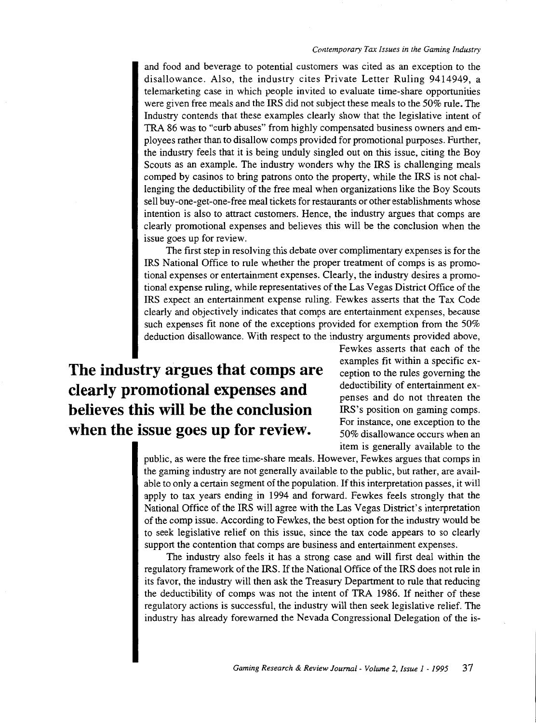and food and beverage to potential customers was cited as an exception to the disallowance. Also, the industry cites Private Letter Ruling 9414949, a telemarketing case in which people invited to evaluate time-share opportunities were given free meals and the IRS did not subject these meals to the 50% rule. The Industry contends that these examples clearly show that the legislative intent of TRA 86 was to "curb abuses" from highly compensated business owners and employees rather than to disallow comps provided for promotional purposes. Further, the industry feels that it is being unduly singled out on this issue, citing the Boy Scouts as an example. The industry wonders why the IRS is challenging meals comped by casinos to bring patrons onto the property, while the IRS is not challenging the deductibility of the free meal when organizations like the Boy Scouts sell buy-one-get-one-free meal tickets for restaurants or other establishments whose intention is also to attract customers. Hence, the industry argues that comps are clearly promotional expenses and believes this will be the conclusion when the issue goes up for review.

The first step in resolving this debate over complimentary expenses is for the IRS National Office to rule whether the proper treatment of comps is as promotional expenses or entertainment expenses. Clearly, the industry desires a promotional expense ruling, while representatives of the Las Vegas District Office of the IRS expect an entertainment expense ruling. Fewkes asserts that the Tax Code clearly and objectively indicates that comps are entertainment expenses, because such expenses fit none of the exceptions provided for exemption from the 50% deduction disallowance. With respect to the industry arguments provided above,

## **The industry argues that comps are clearly promotional expenses and believes this will be the conclusion when the issue goes up for review.**

Fewkes asserts that each of the examples fit within a specific exception to the rules governing the deductibility of entertainment expenses and do not threaten the IRS's position on gaming comps. For instance, one exception to the 50% disallowance occurs when an item is generally available to the

public, as were the free time-share meals. However, Fewkes argues that camps in the gaming industry are not generally available to the public, but rather, are available to only a certain segment of the population. If this interpretation passes, it will apply to tax years ending in 1994 and forward. Fewkes feels strongly that the National Office of the IRS will agree with the Las Vegas District's interpretation of the camp issue. According to Fewkes, the best option for the industry would be to seek legislative relief on this issue, since the tax code appears to so clearly support the contention that comps are business and entertainment expenses.

The industry also feels it has a strong case and will first deal within the regulatory framework of the IRS. If the National Office of the IRS does not rule in its favor, the industry will then ask the Treasury Department to rule that reducing the deductibility of camps was not the intent of TRA 1986. If neither of these regulatory actions is successful, the industry will then seek legislative relief. The industry has already forewarned the Nevada Congressional Delegation of the is-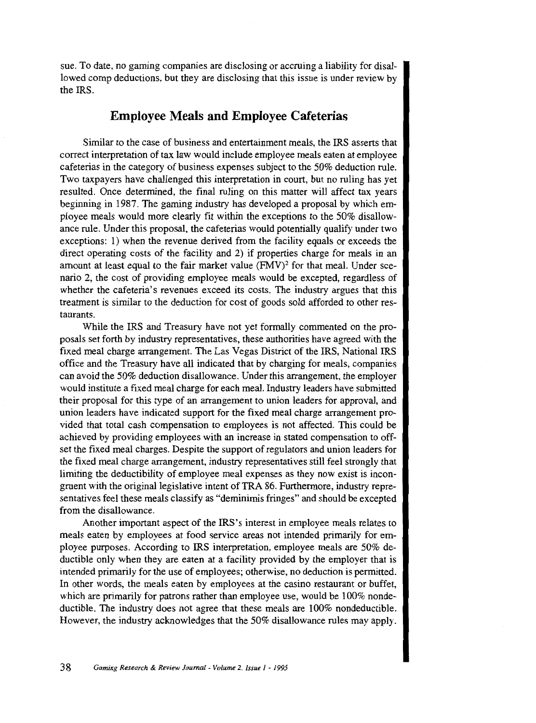sue. To date, no gaming companies are disclosing or accruing a liability for disallowed comp deductions, but they are disclosing that this issue is under review by the IRS.

#### **Employee Meals and Employee Cafeterias**

Similar to the case of business and entertainment meals, the IRS asserts that correct interpretation of tax law would include employee meals eaten at employee cafeterias in the category of business expenses subject to the 50% deduction rule. Two taxpayers have challenged this interpretation in court, but no ruling has yet resulted. Once determined, the final ruling on this matter will affect tax years beginning in 1987. The gaming industry has developed a proposal by which employee meals would more clearly fit within the exceptions to the 50% disallowance rule. Under this proposal, the cafeterias would potentially qualify under two exceptions: 1) when the revenue derived from the facility equals or exceeds the direct operating costs of the facility and 2) if properties charge for meals in an amount at least equal to the fair market value  $(FMV)^2$  for that meal. Under scenario 2, the cost of providing employee meals would be excepted, regardless of whether the cafeteria's revenues exceed its costs. The industry argues that this treatment is similar to the deduction for cost of goods sold afforded to other restaurants.

While the IRS and Treasury have not yet formally commented on the proposals set forth by industry representatives, these authorities have agreed with the fixed meal charge arrangement. The Las Vegas District of the IRS, National IRS office and the Treasury have all indicated that by charging for meals, companies can avoid the 50% deduction disallowance. Under this arrangement, the employer would institute a fixed meal charge for each meal. Industry leaders have submitted their proposal for this type of an arrangement to union leaders for approval, and union leaders have indicated support for the fixed meal charge arrangement provided that total cash compensation to employees is not affected. This could be achieved by providing employees with an increase in stated compensation to offset the fixed meal charges. Despite the support of regulators and union leaders for the fixed meal charge arrangement, industry representatives still feel strongly that limiting the deductibility of employee meal expenses as they now exist is incongruent with the original legislative intent ofTRA 86. Furthermore, industry representatives feel these meals classify as "deminimis fringes" and should be excepted from the disallowance.

Another important aspect of the IRS's interest in employee meals relates to meals eaten by employees at food service areas not intended primarily for employee purposes. According to IRS interpretation, employee meals are 50% deductible only when they are eaten at a facility provided by the employer that is intended primarily for the use of employees; otherwise, no deduction is permitted. In other words, the meals eaten by employees at the casino restaurant or buffet, which are primarily for patrons rather than employee use, would be 100% nondeductible. The industry does not agree that these meals are 100% nondeductible. However, the industry acknowledges that the 50% disallowance rules may apply.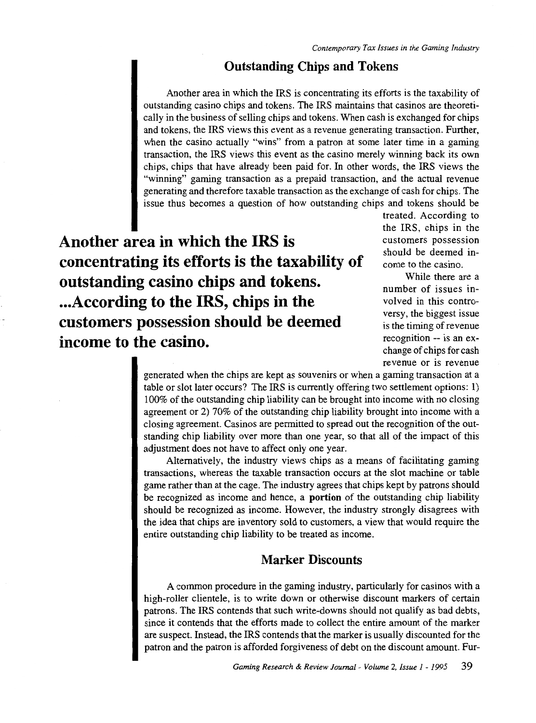### **Outstanding Chips and Tokens**

Another area in which the IRS is concentrating its efforts is the taxability of outstanding casino chips and tokens. The IRS maintains that casinos are theoretically in the business of selling chips and tokens. When cash is exchanged for chips and tokens, the IRS views this event as a revenue generating transaction. Further, when the casino actually "wins" from a patron at some later time in a gaming transaction, the IRS views this event as the casino merely winning back its own chips, chips that have already been paid for. In other words, the IRS views the "winning" gaming transaction as a prepaid transaction, and the actual revenue generating and therefore taxable transaction as the exchange of cash for chips. The issue thus becomes a question of how outstanding chips and tokens should be

**Another area in which the IRS is concentrating its efforts is the taxability of outstanding casino chips and tokens. ... According to the IRS, chips in the customers possession should be deemed income to the casino.** 

treated. According to the IRS, chips in the customers possession should be deemed income to the casino.

While there are a number of issues involved in this controversy, the biggest issue is the timing of revenue recognition -- is an exchange of chips for cash revenue or is revenue

generated when the chips are kept as souvenirs or when a gaming transaction at a table or slot later occurs? The IRS is currently offering two settlement options: 1) 100% of the outstanding chip liability can be brought into income with no closing agreement or 2) 70% of the outstanding chip liability brought into income with a closing agreement. Casinos are permitted to spread out the recognition of the outstanding chip liability over more than one year, so that all of the impact of this adjustment does not have to affect only one year.

Alternatively, the industry views chips as a means of facilitating gaming transactions, whereas the taxable transaction occurs at the slot machine or table game rather than at the cage. The industry agrees that chips kept by patrons should be recognized as income and hence, a **portion** of the outstanding chip liability should be recognized as income. However, the industry strongly disagrees with the idea that chips are inventory sold to customers, a view that would require the entire outstanding chip liability to be treated as income.

### **Marker Discounts**

A common procedure in the gaming industry, particularly for casinos with a high-roller clientele, is to write down or otherwise discount markers of certain patrons. The IRS contends that such write-downs should not qualify as bad debts, since it contends that the efforts made to collect the entire amount of the marker are suspect. Instead, the IRS contends that the marker is usually discounted for the patron and the patron is afforded forgiveness of debt on the discount amount. Fur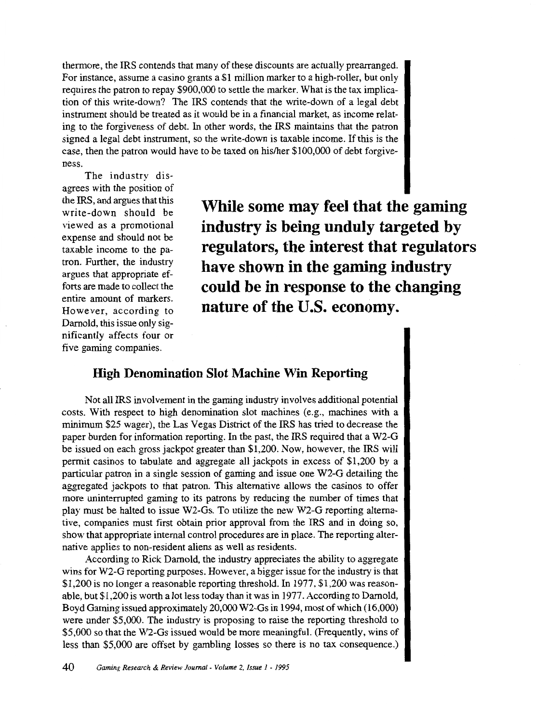thermore, the IRS contends that many of these discounts are actually prearranged. For instance, assume a casino grants a \$1 million marker to a high-roller, but only requires the patron to repay \$900,000 to settle the marker. What is the tax implication of this write-down? The IRS contends that the write-down of a legal debt instrument should be treated as it would be in a financial market, as income relating to the forgiveness of debt. In other words, the IRS maintains that the patron signed a legal debt instrument, so the write-down is taxable income. If this is the case, then the patron would have to be taxed on his/her \$100,000 of debt forgiveness.

The industry disagrees with the position of the IRS, and argues that this write-down should be viewed as a promotional expense and should not be taxable income to the patron. Further, the industry argues that appropriate efforts are made to collect the entire amount of markers. However, according to Darnold, this issue only significantly affects four or five gaming companies.

**While some may feel that the gaming industry is being unduly targeted by regulators, the interest that regulators have shown in the gaming industry could be in response to the changing nature of the U.S. economy.** 

### **High Denomination Slot Machine Win Reporting**

Not all IRS involvement in the gaming industry involves additional potential costs. With respect to high denomination slot machines (e.g., machines with a minimum \$25 wager), the Las Vegas District of the IRS has tried to decrease the paper burden for information reporting. In the past, the IRS required that a W2-G be issued on each gross jackpot greater than \$1,200. Now, however, the IRS will permit casinos to tabulate and aggregate all jackpots in excess of \$1,200 by a particular patron in a single session of gaming and issue one W2-G detailing the aggregated jackpots to that patron. This alternative allows the casinos to offer more uninterrupted gaming to its patrons by reducing the number of times that play must be halted to issue W2-Gs. To utilize the new W2-G reporting alternative, companies must first obtain prior approval from the IRS and in doing so, show that appropriate internal control procedures are in place. The reporting alternative applies to non-resident aliens as well as residents.

According to Rick Darnold, the industry appreciates the ability to aggregate wins for W2-G reporting purposes. However, a bigger issue for the industry is that \$1,200 is no longer a reasonable reporting threshold. In 1977,\$1,200 was reasonable, but \$1,200 is worth a lot less today than it was in 1977. According to Darnold, Boyd Gaming issued approximately 20,000 W2-Gs in 1994, most of which (16,000) were under \$5,000. The industry is proposing to raise the reporting threshold to \$5,000 so that the W2-Gs issued would be more meaningful. (Frequently, wins of less than \$5,000 are offset by gambling losses so there is no tax consequence.)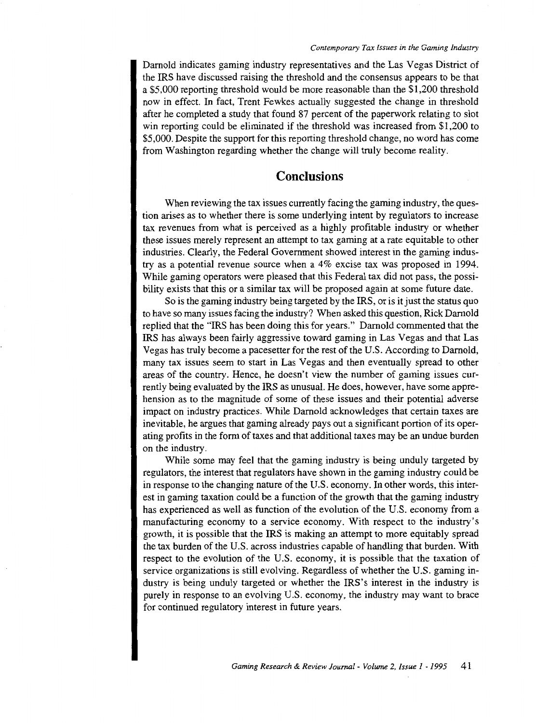Darnold indicates gaming industry representatives and the Las Vegas District of the IRS have discussed raising the threshold and the consensus appears to be that a \$5,000 reporting threshold would be more reasonable than the \$1,200 threshold now in effect. In fact, Trent Fewkes actually suggested the change in threshold after he completed a study that found 87 percent of the paperwork relating to slot win reporting could be eliminated if the threshold was increased from \$1,200 to \$5,000. Despite the support for this reporting threshold change, no word has come from Washington regarding whether the change will truly become reality.

### **Conclusions**

When reviewing the tax issues currently facing the gaming industry, the question arises as to whether there is some underlying intent by regulators to increase tax revenues from what is perceived as a highly profitable industry or whether these issues merely represent an attempt to tax gaming at a rate equitable to other industries. Clearly, the Federal Government showed interest in the gaming industry as a potential revenue source when a 4% excise tax was proposed in 1994. While gaming operators were pleased that this Federal tax did not pass, the possibility exists that this or a similar tax will be proposed again at some future date.

So is the gaming industry being targeted by the IRS, or is it just the status quo to have so many issues facing the industry? When asked this question, Rick Darnold replied that the "IRS has been doing this for years." Darnold commented that the IRS has always been fairly aggressive toward gaming in Las Vegas and that Las Vegas has truly become a pacesetter for the rest of the U.S. According to Darnold, many tax issues seem to start in Las Vegas and then eventually spread to other areas of the country. Hence, he doesn't view the number of gaming issues currently being evaluated by the IRS as unusual. He does, however, have some apprehension as to the magnitude of some of these issues and their potential adverse impact on industry practices. While Darnold acknowledges that certain taxes are inevitable, he argues that gaming already pays out a significant portion of its operating profits in the form of taxes and that additional taxes may be an undue burden on the industry.

While some may feel that the gaming industry is being unduly targeted by regulators, the interest that regulators have shown in the gaming industry could be in response to the changing nature of the U.S. economy. In other words, this interest in gaming taxation could be a function of the growth that the gaming industry has experienced as well as function of the evolution of the U.S. economy from a manufacturing economy to a service economy. With respect to the industry's growth, it is possible that the IRS is making an attempt to more equitably spread the tax burden of the U.S. across industries capable of handling that burden. With respect to the evolution of the U.S. economy, it is possible that the taxation of service organizations is still evolving. Regardless of whether the U.S. gaming industry is being unduly targeted or whether the IRS's interest in the industry is purely in response to an evolving U.S. economy, the industry may want to brace for continued regulatory interest in future years.